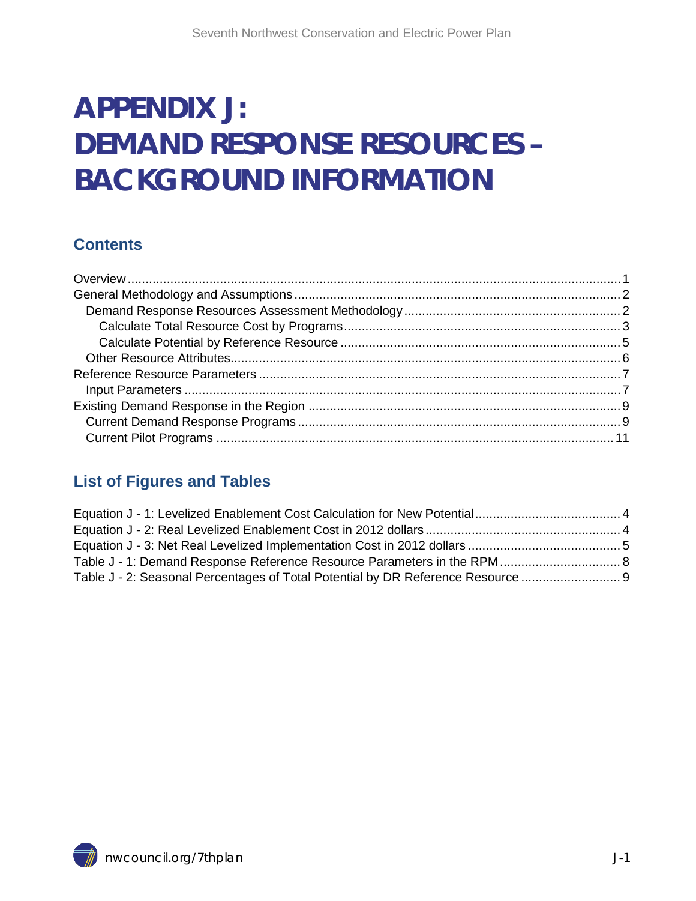# **APPENDIX J: DEMAND RESPONSE RESOURCES – BACKGROUND INFORMATION**

### **Contents**

### <span id="page-0-0"></span>**List of Figures and Tables**

| Table J - 2: Seasonal Percentages of Total Potential by DR Reference Resource |  |
|-------------------------------------------------------------------------------|--|

<span id="page-0-1"></span>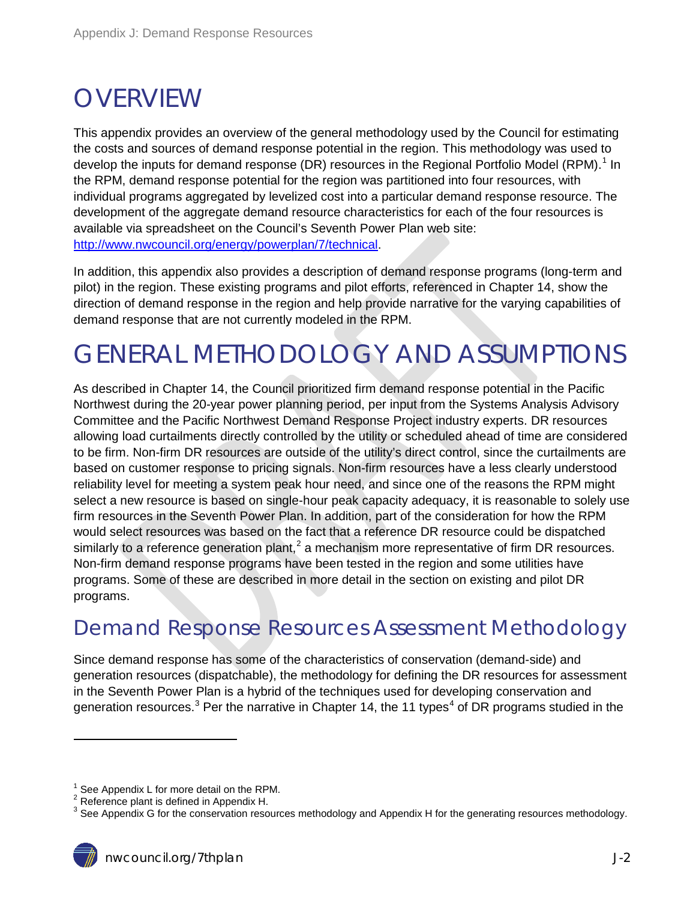## **OVERVIEW**

This appendix provides an overview of the general methodology used by the Council for estimating the costs and sources of demand response potential in the region. This methodology was used to develop the inputs for demand response (DR) resources in the Regional Portfolio Model (RPM).<sup>[1](#page-0-1)</sup> In the RPM, demand response potential for the region was partitioned into four resources, with individual programs aggregated by levelized cost into a particular demand response resource. The development of the aggregate demand resource characteristics for each of the four resources is available via spreadsheet on the Council's Seventh Power Plan web site: [http://www.nwcouncil.org/energy/powerplan/7/technical.](http://www.nwcouncil.org/energy/powerplan/7/technical)

In addition, this appendix also provides a description of demand response programs (long-term and pilot) in the region. These existing programs and pilot efforts, referenced in Chapter 14, show the direction of demand response in the region and help provide narrative for the varying capabilities of demand response that are not currently modeled in the RPM.

# <span id="page-1-0"></span>GENERAL METHODOLOGY AND ASSUMPTIONS

As described in Chapter 14, the Council prioritized firm demand response potential in the Pacific Northwest during the 20-year power planning period, per input from the Systems Analysis Advisory Committee and the Pacific Northwest Demand Response Project industry experts. DR resources allowing load curtailments directly controlled by the utility or scheduled ahead of time are considered to be firm. Non-firm DR resources are outside of the utility's direct control, since the curtailments are based on customer response to pricing signals. Non-firm resources have a less clearly understood reliability level for meeting a system peak hour need, and since one of the reasons the RPM might select a new resource is based on single-hour peak capacity adequacy, it is reasonable to solely use firm resources in the Seventh Power Plan. In addition, part of the consideration for how the RPM would select resources was based on the fact that a reference DR resource could be dispatched similarly to a reference generation plant,<sup>[2](#page-1-2)</sup> a mechanism more representative of firm DR resources. Non-firm demand response programs have been tested in the region and some utilities have programs. Some of these are described in more detail in the section on existing and pilot DR programs.

## <span id="page-1-6"></span><span id="page-1-1"></span>Demand Response Resources Assessment Methodology

<span id="page-1-5"></span><span id="page-1-4"></span>Since demand response has some of the characteristics of conservation (demand-side) and generation resources (dispatchable), the methodology for defining the DR resources for assessment in the Seventh Power Plan is a hybrid of the techniques used for developing conservation and generation resources.<sup>[3](#page-1-3)</sup> Per the narrative in Chapter 1[4](#page-1-4), the 11 types<sup>4</sup> of DR programs studied in the

<sup>&</sup>lt;sup>1</sup> See Appendix L for more detail on the RPM.<br><sup>2</sup> Reference plant is defined in Appendix H.

<span id="page-1-2"></span>

<span id="page-1-3"></span> $3$  See Appendix G for the conservation resources methodology and Appendix H for the generating resources methodology.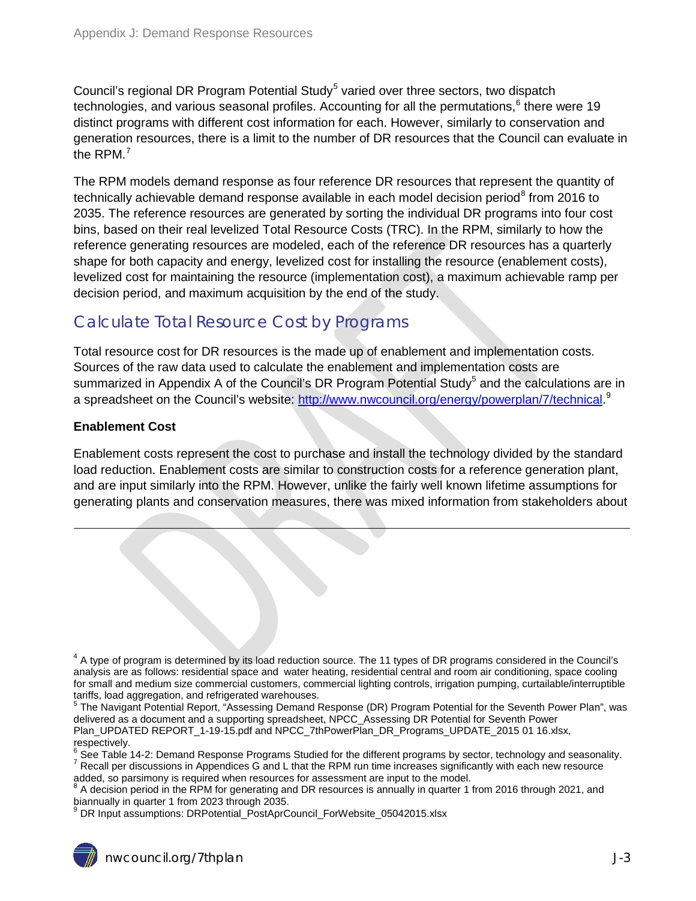<span id="page-2-1"></span>Council's regional DR Program Potential Study<sup>[5](#page-1-5)</sup> varied over three sectors, two dispatch technologies, and various seasonal profiles. Accounting for all the permutations, [6](#page-2-2) there were 19 distinct programs with different cost information for each. However, similarly to conservation and generation resources, there is a limit to the number of DR resources that the Council can evaluate in the RPM. $^7$  $^7$ 

The RPM models demand response as four reference DR resources that represent the quantity of technically achievable demand response available in each model decision period<sup>[8](#page-2-4)</sup> from 2016 to 2035. The reference resources are generated by sorting the individual DR programs into four cost bins, based on their real levelized Total Resource Costs (TRC). In the RPM, similarly to how the reference generating resources are modeled, each of the reference DR resources has a quarterly shape for both capacity and energy, levelized cost for installing the resource (enablement costs), levelized cost for maintaining the resource (implementation cost), a maximum achievable ramp per decision period, and maximum acquisition by the end of the study.

### <span id="page-2-0"></span>Calculate Total Resource Cost by Programs

Total resource cost for DR resources is the made up of enablement and implementation costs. Sources of the raw data used to calculate the enablement and implementation costs are summarized in Appendix A of the Council's DR Program Potential Study<sup>5</sup> and the calculations are in a spreadsheet on the Council's website: <u>http://www.nwcouncil.org/energy/powerplan/7/technical</u>.<sup>[9](#page-2-5)</sup>

#### **Enablement Cost**

<u>.</u>

Enablement costs represent the cost to purchase and install the technology divided by the standard load reduction. Enablement costs are similar to construction costs for a reference generation plant, and are input similarly into the RPM. However, unlike the fairly well known lifetime assumptions for generating plants and conservation measures, there was mixed information from stakeholders about

 $4$  A type of program is determined by its load reduction source. The 11 types of DR programs considered in the Council's analysis are as follows: residential space and water heating, residential central and room air conditioning, space cooling for small and medium size commercial customers, commercial lighting controls, irrigation pumping, curtailable/interruptible tariffs, load aggregation, and refrigerated warehouses.

 $5$  The Navigant Potential Report, "Assessing Demand Response (DR) Program Potential for the Seventh Power Plan", was delivered as a document and a supporting spreadsheet, NPCC\_Assessing DR Potential for Seventh Power Plan\_UPDATED REPORT\_1-19-15.pdf and NPCC\_7thPowerPlan\_DR\_Programs\_UPDATE\_2015 01 16.xlsx, respectively.<br><sup>6</sup> See Table 14-2: Demand Response Programs Studied for the different programs by sector, technology and seasonality.

<span id="page-2-3"></span><span id="page-2-2"></span>Recall per discussions in Appendices G and L that the RPM run time increases significantly with each new resource added, so parsimony is required when resources for assessment are input to the model.

<span id="page-2-6"></span><span id="page-2-4"></span> $8$  A decision period in the RPM for generating and DR resources is annually in quarter 1 from 2016 through 2021, and biannually in quarter 1 from 2023 through 2035.

<span id="page-2-5"></span>DR Input assumptions: DRPotential\_PostAprCouncil\_ForWebsite\_05042015.xlsx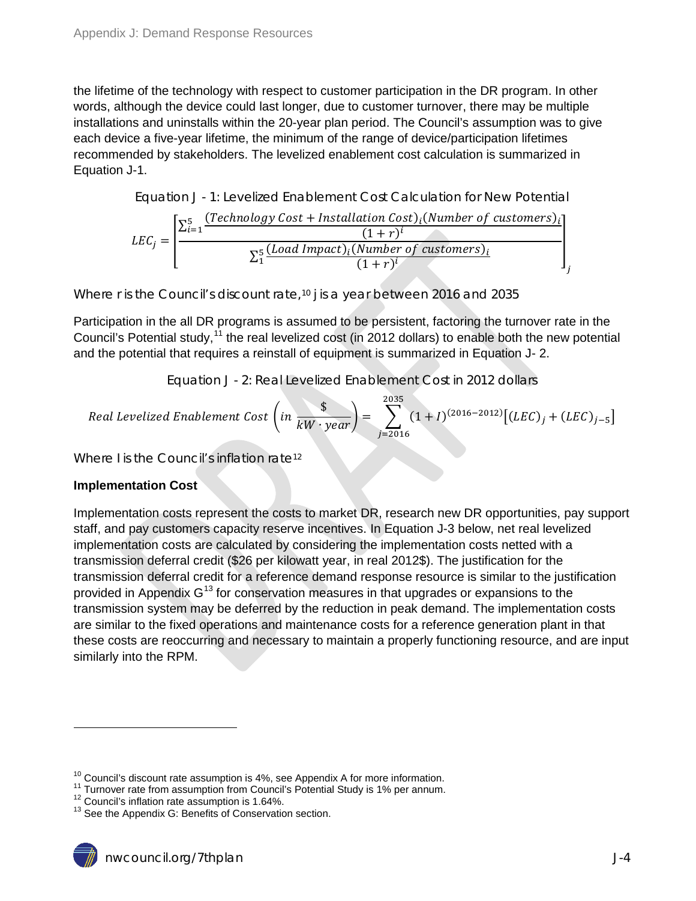the lifetime of the technology with respect to customer participation in the DR program. In other words, although the device could last longer, due to customer turnover, there may be multiple installations and uninstalls within the 20-year plan period. The Council's assumption was to give each device a five-year lifetime, the minimum of the range of device/participation lifetimes recommended by stakeholders. The levelized enablement cost calculation is summarized in [Equation J-1.](#page-3-0)

<span id="page-3-0"></span>Equation J - 1: Levelized Enablement Cost Calculation for New Potential

$$
LEC_j = \left[ \frac{\sum_{i=1}^{5} \frac{(Technology Cost + Instantiation Cost)_i (Number of customers)_i}{(1+r)^i}}{\sum_{1}^{5} \frac{(Load Impact)_i (Number of customers)_i}{(1+r)^i}} \right]
$$

Where *r* is the Council's discount rate,<sup>[10](#page-2-6)</sup> *j* is a year between 2016 and 2035

Participation in the all DR programs is assumed to be persistent, factoring the turnover rate in the Council's Potential study,<sup>[11](#page-3-2)</sup> the real levelized cost (in 2012 dollars) to enable both the new potential and the potential that requires a reinstall of equipment is summarized in [Equation J-](#page-3-1) 2.

<span id="page-3-5"></span>Equation J - 2: Real Levelized Enablement Cost in 2012 dollars

<span id="page-3-1"></span>Real Levelized Enablement Cost 
$$
\left(in \frac{\$}{kW \cdot year}\right) = \sum_{j=2016}^{2035} (1 + I)^{(2016-2012)} \left[ (LEC)_j + (LEC)_{j-5} \right]
$$

Where *I* is the Council's inflation rate<sup>[12](#page-3-3)</sup>

#### **Implementation Cost**

 $\overline{a}$ 

Implementation costs represent the costs to market DR, research new DR opportunities, pay support staff, and pay customers capacity reserve incentives. In [Equation J-3](#page-4-1) below, net real levelized implementation costs are calculated by considering the implementation costs netted with a transmission deferral credit (\$26 per kilowatt year, in real 2012\$). The justification for the transmission deferral credit for a reference demand response resource is similar to the justification provided in Appendix  $G^{13}$  $G^{13}$  $G^{13}$  for conservation measures in that upgrades or expansions to the transmission system may be deferred by the reduction in peak demand. The implementation costs are similar to the fixed operations and maintenance costs for a reference generation plant in that these costs are reoccurring and necessary to maintain a properly functioning resource, and are input similarly into the RPM.

<span id="page-3-6"></span><span id="page-3-2"></span><sup>&</sup>lt;sup>10</sup> Council's discount rate assumption is 4%, see Appendix A for more information.<br><sup>11</sup> Turnover rate from assumption from Council's Potential Study is 1% per annum.<br><sup>12</sup> Council's inflation rate assumption is 1.64%.<br><sup>13</sup>

<span id="page-3-4"></span><span id="page-3-3"></span>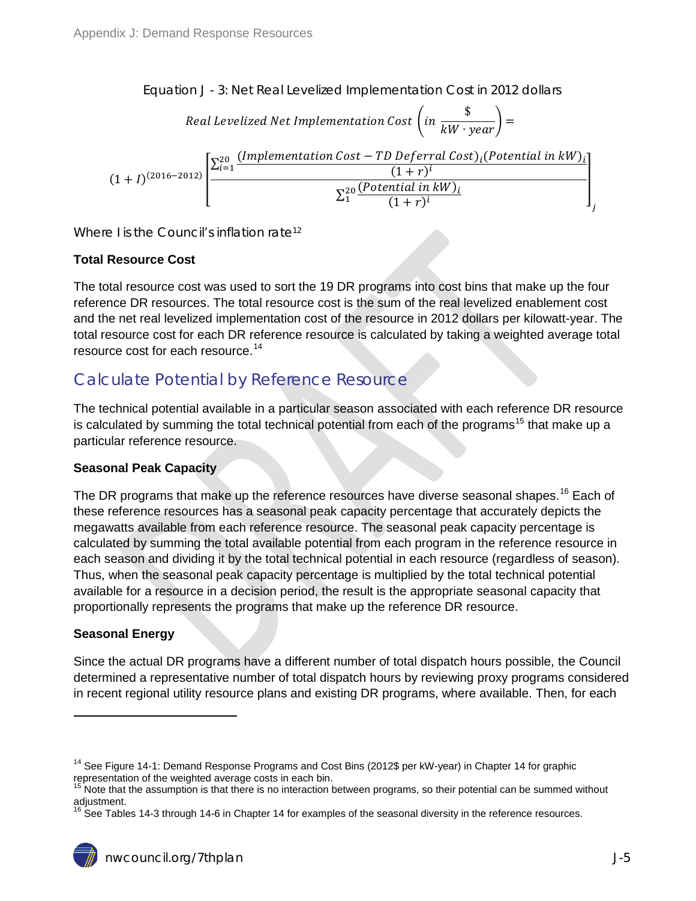<span id="page-4-1"></span>Equation J - 3: Net Real Levelized Implementation Cost in 2012 dollars

Real Levelized Net Implementation Cost 
$$
\left(in \frac{\$}{kW \cdot year}\right) =
$$

$$
(1+I)^{(2016-2012)}\left[\frac{\sum_{i=1}^{20} \frac{(Implementation Cost - TD\ Deferral Cost)_i (Potential in kW)_i}{(1+r)^i}}{\sum_{1}^{20} \frac{(Potential in kW)_i}{(1+r)^i}}\right],
$$

Where *I* is the Council's inflation rate<sup>12</sup>

#### **Total Resource Cost**

The total resource cost was used to sort the 19 DR programs into cost bins that make up the four reference DR resources. The total resource cost is the sum of the real levelized enablement cost and the net real levelized implementation cost of the resource in 2012 dollars per kilowatt-year. The total resource cost for each DR reference resource is calculated by taking a weighted average total resource cost for each resource. [14](#page-3-6)

### <span id="page-4-0"></span>Calculate Potential by Reference Resource

The technical potential available in a particular season associated with each reference DR resource is calculated by summing the total technical potential from each of the programs<sup>[15](#page-4-2)</sup> that make up a particular reference resource.

#### **Seasonal Peak Capacity**

The DR programs that make up the reference resources have diverse seasonal shapes.<sup>[16](#page-4-3)</sup> Each of these reference resources has a seasonal peak capacity percentage that accurately depicts the megawatts available from each reference resource. The seasonal peak capacity percentage is calculated by summing the total available potential from each program in the reference resource in each season and dividing it by the total technical potential in each resource (regardless of season). Thus, when the seasonal peak capacity percentage is multiplied by the total technical potential available for a resource in a decision period, the result is the appropriate seasonal capacity that proportionally represents the programs that make up the reference DR resource.

#### **Seasonal Energy**

 $\overline{a}$ 

Since the actual DR programs have a different number of total dispatch hours possible, the Council determined a representative number of total dispatch hours by reviewing proxy programs considered in recent regional utility resource plans and existing DR programs, where available. Then, for each

<sup>&</sup>lt;sup>14</sup> See Figure 14-1: Demand Response Programs and Cost Bins (2012\$ per kW-year) in Chapter 14 for graphic representation of the weighted average costs in each bin.

<span id="page-4-2"></span><sup>&</sup>lt;sup>15</sup> Note that the assumption is that there is no interaction between programs, so their potential can be summed without adjustment.

<span id="page-4-3"></span>See Tables 14-3 through 14-6 in Chapter 14 for examples of the seasonal diversity in the reference resources.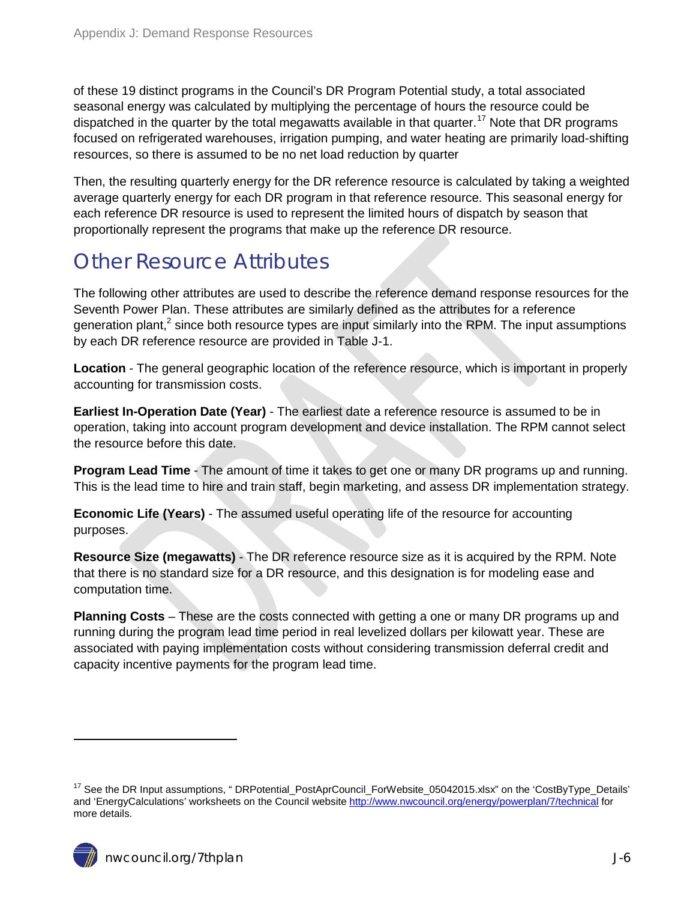of these 19 distinct programs in the Council's DR Program Potential study, a total associated seasonal energy was calculated by multiplying the percentage of hours the resource could be dispatched in the quarter by the total megawatts available in that quarter.<sup>[17](#page-4-2)</sup> Note that DR programs focused on refrigerated warehouses, irrigation pumping, and water heating are primarily load-shifting resources, so there is assumed to be no net load reduction by quarter

Then, the resulting quarterly energy for the DR reference resource is calculated by taking a weighted average quarterly energy for each DR program in that reference resource. This seasonal energy for each reference DR resource is used to represent the limited hours of dispatch by season that proportionally represent the programs that make up the reference DR resource.

## <span id="page-5-0"></span>Other Resource Attributes

The following other attributes are used to describe the reference demand response resources for the Seventh Power Plan. These attributes are similarly defined as the attributes for a reference generation plant,<sup>[2](#page-1-6)</sup> since both resource types are input similarly into the RPM. The input assumptions by each DR reference resource are provided in [Table J-1.](#page-7-0)

**Location** - The general geographic location of the reference resource, which is important in properly accounting for transmission costs.

**Earliest In-Operation Date (Year)** - The earliest date a reference resource is assumed to be in operation, taking into account program development and device installation. The RPM cannot select the resource before this date.

**Program Lead Time** - The amount of time it takes to get one or many DR programs up and running. This is the lead time to hire and train staff, begin marketing, and assess DR implementation strategy.

**Economic Life (Years)** - The assumed useful operating life of the resource for accounting purposes.

**Resource Size (megawatts)** - The DR reference resource size as it is acquired by the RPM. Note that there is no standard size for a DR resource, and this designation is for modeling ease and computation time.

**Planning Costs** – These are the costs connected with getting a one or many DR programs up and running during the program lead time period in real levelized dollars per kilowatt year. These are associated with paying implementation costs without considering transmission deferral credit and capacity incentive payments for the program lead time.

<span id="page-5-1"></span><sup>&</sup>lt;sup>17</sup> See the DR Input assumptions, " DRPotential\_PostAprCouncil\_ForWebsite\_05042015.xlsx" on the 'CostByType\_Details' and 'EnergyCalculations' worksheets on the Council websit[e http://www.nwcouncil.org/energy/powerplan/7/technical](http://www.nwcouncil.org/energy/powerplan/7/technical) for more details.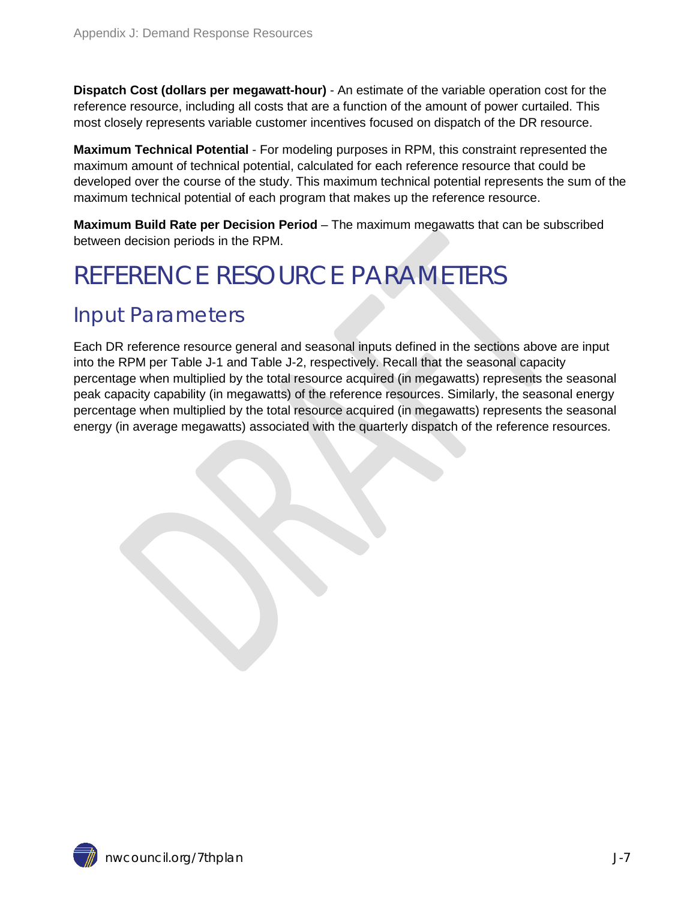**Dispatch Cost (dollars per megawatt-hour)** - An estimate of the variable operation cost for the reference resource, including all costs that are a function of the amount of power curtailed. This most closely represents variable customer incentives focused on dispatch of the DR resource.

**Maximum Technical Potential** - For modeling purposes in RPM, this constraint represented the maximum amount of technical potential, calculated for each reference resource that could be developed over the course of the study. This maximum technical potential represents the sum of the maximum technical potential of each program that makes up the reference resource.

**Maximum Build Rate per Decision Period** – The maximum megawatts that can be subscribed between decision periods in the RPM.

# <span id="page-6-0"></span>REFERENCE RESOURCE PARAMETERS

## <span id="page-6-1"></span>Input Parameters

Each DR reference resource general and seasonal inputs defined in the sections above are input into the RPM per [Table J-1](#page-7-0) and [Table J-2,](#page-8-2) respectively. Recall that the seasonal capacity percentage when multiplied by the total resource acquired (in megawatts) represents the seasonal peak capacity capability (in megawatts) of the reference resources. Similarly, the seasonal energy percentage when multiplied by the total resource acquired (in megawatts) represents the seasonal energy (in average megawatts) associated with the quarterly dispatch of the reference resources.

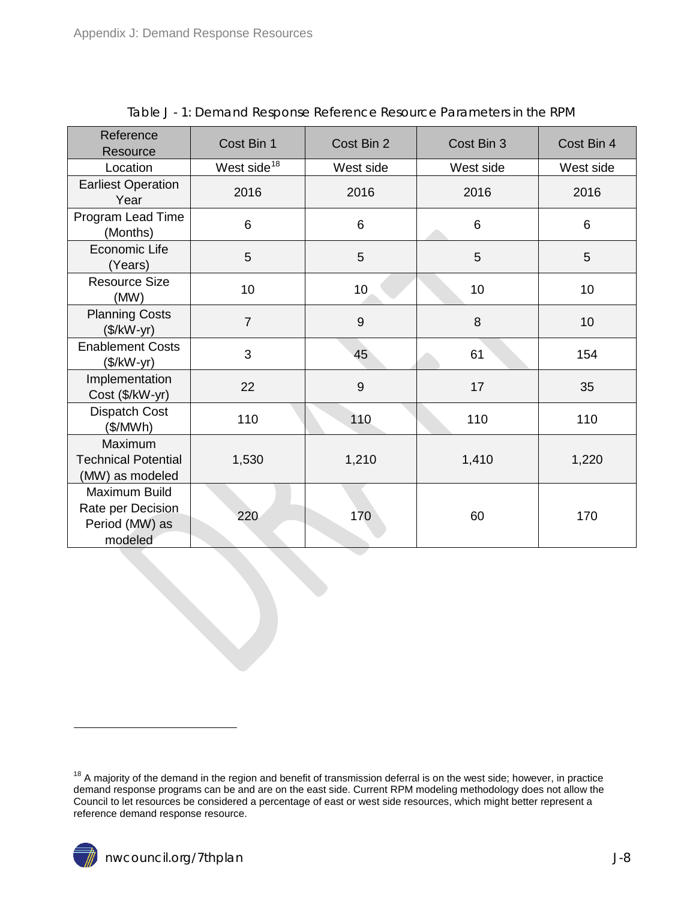<span id="page-7-0"></span>

| Reference<br>Resource                                           | Cost Bin 1              | Cost Bin 2   | Cost Bin 3 | Cost Bin 4 |  |
|-----------------------------------------------------------------|-------------------------|--------------|------------|------------|--|
| Location                                                        | West side <sup>18</sup> | West side    | West side  | West side  |  |
| <b>Earliest Operation</b><br>Year                               | 2016                    | 2016<br>2016 |            | 2016       |  |
| Program Lead Time<br>(Months)                                   | 6                       | 6            | 6          | 6          |  |
| Economic Life<br>(Years)                                        | 5                       | 5            | 5          | 5          |  |
| <b>Resource Size</b><br>(MW)                                    | 10                      | 10           | 10         | 10         |  |
| <b>Planning Costs</b><br>$($/kW-yr)$                            | $\overline{7}$          | 9            | 8          | 10         |  |
| <b>Enablement Costs</b><br>$($/kW-yr)$                          | 3                       | 45           | 61         | 154        |  |
| Implementation<br>Cost (\$/kW-yr)                               | 22                      | 9            | 17         | 35         |  |
| <b>Dispatch Cost</b><br>(\$/MWh)                                | 110                     | 110          | 110        | 110        |  |
| Maximum<br><b>Technical Potential</b><br>(MW) as modeled        | 1,530                   | 1,210        | 1,410      | 1,220      |  |
| Maximum Build<br>Rate per Decision<br>Period (MW) as<br>modeled | 220                     | 170          | 60         | 170        |  |

Table J - 1: Demand Response Reference Resource Parameters in the RPM

<span id="page-7-1"></span> $18$  A majority of the demand in the region and benefit of transmission deferral is on the west side; however, in practice demand response programs can be and are on the east side. Current RPM modeling methodology does not allow the Council to let resources be considered a percentage of east or west side resources, which might better represent a reference demand response resource.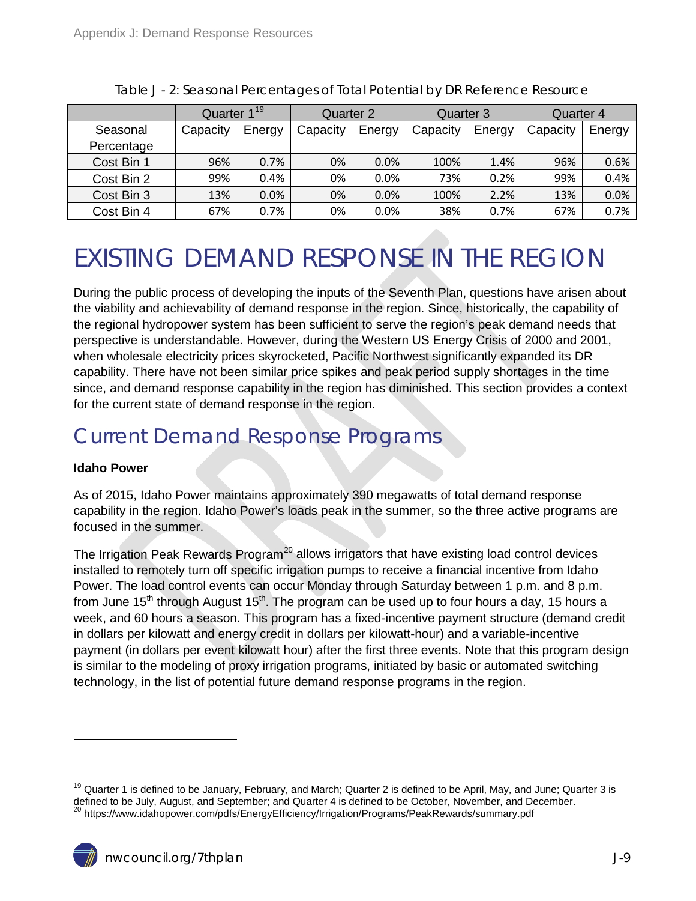<span id="page-8-2"></span>

|            | Quarter 1 <sup>19</sup> |        | Quarter 2 |        | Quarter 3 |        | Quarter 4 |        |
|------------|-------------------------|--------|-----------|--------|-----------|--------|-----------|--------|
| Seasonal   | Capacity                | Energy | Capacity  | Energy | Capacity  | Energy | Capacity  | Energy |
| Percentage |                         |        |           |        |           |        |           |        |
| Cost Bin 1 | 96%                     | 0.7%   | 0%        | 0.0%   | 100%      | 1.4%   | 96%       | 0.6%   |
| Cost Bin 2 | 99%                     | 0.4%   | 0%        | 0.0%   | 73%       | 0.2%   | 99%       | 0.4%   |
| Cost Bin 3 | 13%                     | 0.0%   | 0%        | 0.0%   | 100%      | 2.2%   | 13%       | 0.0%   |
| Cost Bin 4 | 67%                     | 0.7%   | 0%        | 0.0%   | 38%       | 0.7%   | 67%       | 0.7%   |

Table J - 2: Seasonal Percentages of Total Potential by DR Reference Resource

# <span id="page-8-0"></span>EXISTING DEMAND RESPONSE IN THE REGION

During the public process of developing the inputs of the Seventh Plan, questions have arisen about the viability and achievability of demand response in the region. Since, historically, the capability of the regional hydropower system has been sufficient to serve the region's peak demand needs that perspective is understandable. However, during the Western US Energy Crisis of 2000 and 2001, when wholesale electricity prices skyrocketed, Pacific Northwest significantly expanded its DR capability. There have not been similar price spikes and peak period supply shortages in the time since, and demand response capability in the region has diminished. This section provides a context for the current state of demand response in the region.

## <span id="page-8-1"></span>Current Demand Response Programs

#### **Idaho Power**

<span id="page-8-4"></span> $\overline{a}$ 

As of 2015, Idaho Power maintains approximately 390 megawatts of total demand response capability in the region. Idaho Power's loads peak in the summer, so the three active programs are focused in the summer.

The Irrigation Peak Rewards Program<sup>[20](#page-8-3)</sup> allows irrigators that have existing load control devices installed to remotely turn off specific irrigation pumps to receive a financial incentive from Idaho Power. The load control events can occur Monday through Saturday between 1 p.m. and 8 p.m. from June 15<sup>th</sup> through August 15<sup>th</sup>. The program can be used up to four hours a day, 15 hours a week, and 60 hours a season. This program has a fixed-incentive payment structure (demand credit in dollars per kilowatt and energy credit in dollars per kilowatt-hour) and a variable-incentive payment (in dollars per event kilowatt hour) after the first three events. Note that this program design is similar to the modeling of proxy irrigation programs, initiated by basic or automated switching technology, in the list of potential future demand response programs in the region.

<span id="page-8-3"></span><sup>&</sup>lt;sup>19</sup> Quarter 1 is defined to be January, February, and March; Quarter 2 is defined to be April, May, and June; Quarter 3 is defined to be July, August, and September; and Quarter 4 is defined to be October, November, and December. <sup>20</sup> https://www.idahopower.com/pdfs/EnergyEfficiency/Irrigation/Programs/PeakRewards/summary.pdf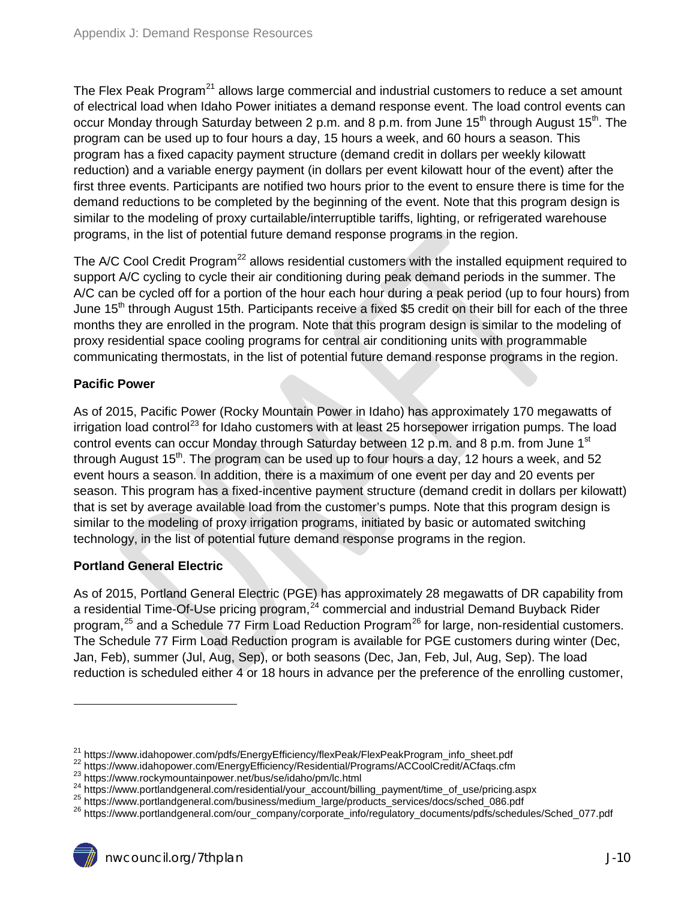The Flex Peak Program<sup>[21](#page-8-4)</sup> allows large commercial and industrial customers to reduce a set amount of electrical load when Idaho Power initiates a demand response event. The load control events can occur Monday through Saturday between 2 p.m. and 8 p.m. from June  $15<sup>th</sup>$  through August  $15<sup>th</sup>$ . The program can be used up to four hours a day, 15 hours a week, and 60 hours a season. This program has a fixed capacity payment structure (demand credit in dollars per weekly kilowatt reduction) and a variable energy payment (in dollars per event kilowatt hour of the event) after the first three events. Participants are notified two hours prior to the event to ensure there is time for the demand reductions to be completed by the beginning of the event. Note that this program design is similar to the modeling of proxy curtailable/interruptible tariffs, lighting, or refrigerated warehouse programs, in the list of potential future demand response programs in the region.

The A/C Cool Credit Program<sup>[22](#page-9-0)</sup> allows residential customers with the installed equipment required to support A/C cycling to cycle their air conditioning during peak demand periods in the summer. The A/C can be cycled off for a portion of the hour each hour during a peak period (up to four hours) from June 15<sup>th</sup> through August 15th. Participants receive a fixed \$5 credit on their bill for each of the three months they are enrolled in the program. Note that this program design is similar to the modeling of proxy residential space cooling programs for central air conditioning units with programmable communicating thermostats, in the list of potential future demand response programs in the region.

#### **Pacific Power**

As of 2015, Pacific Power (Rocky Mountain Power in Idaho) has approximately 170 megawatts of irrigation load control<sup>[23](#page-9-1)</sup> for Idaho customers with at least 25 horsepower irrigation pumps. The load control events can occur Monday through Saturday between 12 p.m. and 8 p.m. from June 1<sup>st</sup> through August  $15<sup>th</sup>$ . The program can be used up to four hours a day, 12 hours a week, and 52 event hours a season. In addition, there is a maximum of one event per day and 20 events per season. This program has a fixed-incentive payment structure (demand credit in dollars per kilowatt) that is set by average available load from the customer's pumps. Note that this program design is similar to the modeling of proxy irrigation programs, initiated by basic or automated switching technology, in the list of potential future demand response programs in the region.

#### **Portland General Electric**

 $\overline{a}$ 

As of 2015, Portland General Electric (PGE) has approximately 28 megawatts of DR capability from a residential Time-Of-Use pricing program,<sup>[24](#page-9-2)</sup> commercial and industrial Demand Buyback Rider program,<sup>[25](#page-9-3)</sup> and a Schedule 77 Firm Load Reduction Program<sup>[26](#page-9-4)</sup> for large, non-residential customers. The Schedule 77 Firm Load Reduction program is available for PGE customers during winter (Dec, Jan, Feb), summer (Jul, Aug, Sep), or both seasons (Dec, Jan, Feb, Jul, Aug, Sep). The load reduction is scheduled either 4 or 18 hours in advance per the preference of the enrolling customer,

<span id="page-9-0"></span>

<span id="page-9-1"></span>

<span id="page-9-2"></span>

<span id="page-9-4"></span><span id="page-9-3"></span>

<sup>&</sup>lt;sup>21</sup> https://www.idahopower.com/pdfs/EnergyEfficiency/flexPeak/FlexPeakProgram\_info\_sheet.pdf<br><sup>22</sup> https://www.idahopower.com/EnergyEfficiency/Residential/Programs/ACCoolCredit/ACfaqs.cfm<br><sup>23</sup> https://www.rockymountainpow